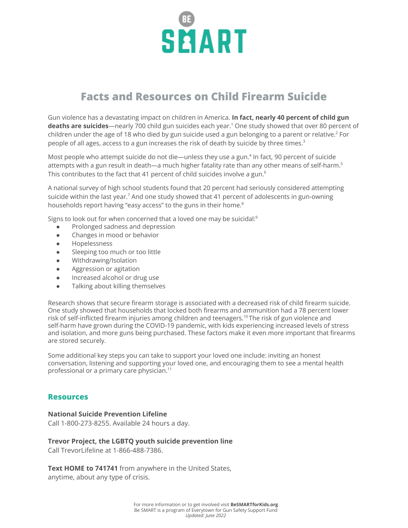

## **Facts and Resources on Child Firearm Suicide**

Gun violence has a devastating impact on children in America. **In fact, nearly 40 percent of child gun deaths are suicides**—nearly 700 child gun suicides each year. <sup>1</sup> One study showed that over 80 percent of children under the age of 18 who died by gun suicide used a gun belonging to a parent or relative. <sup>2</sup> For people of all ages, access to a gun increases the risk of death by suicide by three times. 3

Most people who attempt suicide do not die—unless they use a gun. 4 In fact, 90 percent of suicide attempts with a gun result in death—a much higher fatality rate than any other means of self-harm. 5 This contributes to the fact that 41 percent of child suicides involve a gun. $^{\rm 6}$ 

A national survey of high school students found that 20 percent had seriously considered attempting suicide within the last year.<sup>7</sup> And one study showed that 41 percent of adolescents in gun-owning households report having "easy access" to the guns in their home. 8

Signs to look out for when concerned that a loved one may be suicidal: $^9$ 

- Prolonged sadness and depression
- Changes in mood or behavior
- Hopelessness
- Sleeping too much or too little
- Withdrawing/Isolation
- Aggression or agitation
- Increased alcohol or drug use
- Talking about killing themselves

Research shows that secure firearm storage is associated with a decreased risk of child firearm suicide. One study showed that households that locked both firearms and ammunition had a 78 percent lower risk of self-inflicted firearm injuries among children and teenagers. $^{10}$ The risk of gun violence and self-harm have grown during the COVID-19 pandemic, with kids experiencing increased levels of stress and isolation, and more guns being purchased. These factors make it even more important that firearms are stored securely.

Some additional key steps you can take to support your loved one include: inviting an honest conversation, listening and supporting your loved one, and encouraging them to see a mental health professional or a primary care physician. 11

## **Resources**

## **National Suicide Prevention Lifeline**

Call 1-800-273-8255. Available 24 hours a day.

## **Trevor Project, the LGBTQ youth suicide prevention line**

Call TrevorLifeline at 1-866-488-7386.

**Text HOME to 741741** from anywhere in the United States, anytime, about any type of crisis.